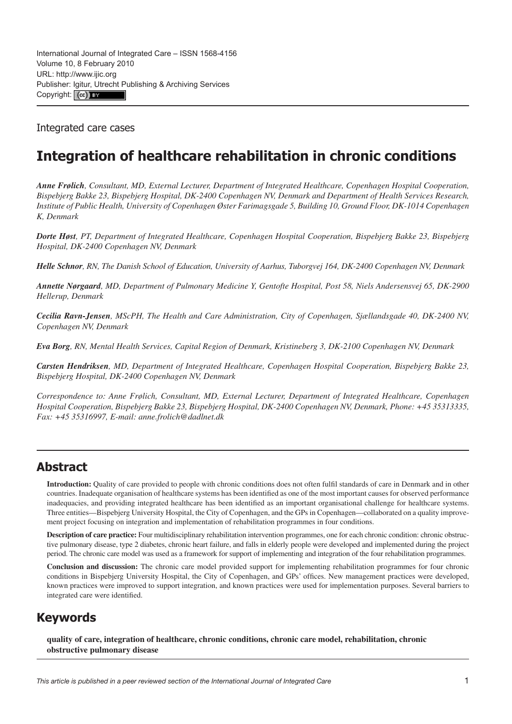Integrated care cases

# **Integration of healthcare rehabilitation in chronic conditions**

*Anne Frølich, Consultant, MD, External Lecturer, Department of Integrated Healthcare, Copenhagen Hospital Cooperation, Bispebjerg Bakke 23, Bispebjerg Hospital, DK-2400 Copenhagen NV, Denmark and Department of Health Services Research, Institute of Public Health, University of Copenhagen Øster Farimagsgade 5, Building 10, Ground Floor, DK-1014 Copenhagen K, Denmark*

*Dorte Høst, PT, Department of Integrated Healthcare, Copenhagen Hospital Cooperation, Bispebjerg Bakke 23, Bispebjerg Hospital, DK-2400 Copenhagen NV, Denmark*

*Helle Schnor, RN, The Danish School of Education, University of Aarhus, Tuborgvej 164, DK-2400 Copenhagen NV, Denmark*

*Annette Nørgaard, MD, Department of Pulmonary Medicine Y, Gentofte Hospital, Post 58, Niels Andersensvej 65, DK-2900 Hellerup, Denmark*

*Cecilia Ravn-Jensen, MScPH, The Health and Care Administration, City of Copenhagen, Sjællandsgade 40, DK-2400 NV, Copenhagen NV, Denmark*

*Eva Borg, RN, Mental Health Services, Capital Region of Denmark, Kristineberg 3, DK-2100 Copenhagen NV, Denmark*

*Carsten Hendriksen, MD, Department of Integrated Healthcare, Copenhagen Hospital Cooperation, Bispebjerg Bakke 23, Bispebjerg Hospital, DK-2400 Copenhagen NV, Denmark*

*Correspondence to: Anne Frølich, Consultant, MD, External Lecturer, Department of Integrated Healthcare, Copenhagen Hospital Cooperation, Bispebjerg Bakke 23, Bispebjerg Hospital, DK-2400 Copenhagen NV, Denmark, Phone: +45 35313335, Fax: +45 35316997, E-mail: [anne.frolich@dadlnet.dk](mailto:anne.frolich@dadlnet.dk)*

### **Abstract**

**Introduction:** Quality of care provided to people with chronic conditions does not often fulfil standards of care in Denmark and in other countries. Inadequate organisation of healthcare systems has been identified as one of the most important causes for observed performance inadequacies, and providing integrated healthcare has been identified as an important organisational challenge for healthcare systems. Three entities—Bispebjerg University Hospital, the City of Copenhagen, and the GPs in Copenhagen—collaborated on a quality improvement project focusing on integration and implementation of rehabilitation programmes in four conditions.

**Description of care practice:** Four multidisciplinary rehabilitation intervention programmes, one for each chronic condition: chronic obstructive pulmonary disease, type 2 diabetes, chronic heart failure, and falls in elderly people were developed and implemented during the project period. The chronic care model was used as a framework for support of implementing and integration of the four rehabilitation programmes.

**Conclusion and discussion:** The chronic care model provided support for implementing rehabilitation programmes for four chronic conditions in Bispebjerg University Hospital, the City of Copenhagen, and GPs' offices. New management practices were developed, known practices were improved to support integration, and known practices were used for implementation purposes. Several barriers to integrated care were identified.

## **Keywords**

**quality of care, integration of healthcare, chronic conditions, chronic care model, rehabilitation, chronic obstructive pulmonary disease**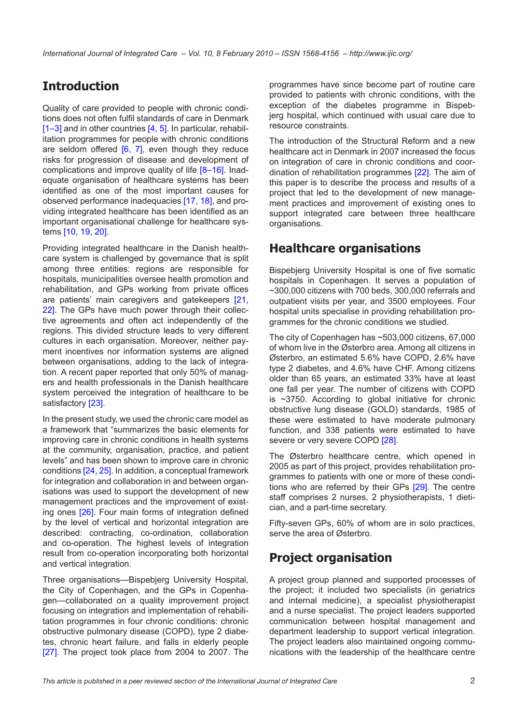## **Introduction**

Quality of care provided to people with chronic conditions does not often fulfil standards of care in Denmark [\[1–3](#page-8-0)] and in other countries [[4](#page-8-0), [5](#page-8-0)]. In particular, rehabilitation programmes for people with chronic conditions are seldom offered  $[6, 7]$  $[6, 7]$  $[6, 7]$ , even though they reduce risks for progression of disease and development of complications and improve quality of life [8-16]. Inadequate organisation of healthcare systems has been identified as one of the most important causes for observed performance inadequacies [\[17](#page-8-0), [18\]](#page-9-0), and providing integrated healthcare has been identified as an important organisational challenge for healthcare systems [[10,](#page-8-0) [19, 20](#page-9-0)].

Providing integrated healthcare in the Danish healthcare system is challenged by governance that is split among three entities: regions are responsible for hospitals, municipalities oversee health promotion and rehabilitation, and GPs working from private offices are patients' main caregivers and gatekeepers [\[21](#page-9-0), [22\]](#page-9-0). The GPs have much power through their collective agreements and often act independently of the regions. This divided structure leads to very different cultures in each organisation. Moreover, neither payment incentives nor information systems are aligned between organisations, adding to the lack of integration. A recent paper reported that only 50% of managers and health professionals in the Danish healthcare system perceived the integration of healthcare to be satisfactory [[23\]](#page-9-0).

In the present study, we used the chronic care model as a framework that "summarizes the basic elements for improving care in chronic conditions in health systems at the community, organisation, practice, and patient levels" and has been shown to improve care in chronic conditions [\[24, 25\]](#page-9-0). In addition, a conceptual framework for integration and collaboration in and between organisations was used to support the development of new management practices and the improvement of existing ones [[26](#page-9-0)]. Four main forms of integration defined by the level of vertical and horizontal integration are described: contracting, co-ordination, collaboration and co-operation. The highest levels of integration result from co-operation incorporating both horizontal and vertical integration.

Three organisations—Bispebjerg University Hospital, the City of Copenhagen, and the GPs in Copenhagen—collaborated on a quality improvement project focusing on integration and implementation of rehabilitation programmes in four chronic conditions: chronic obstructive pulmonary disease (COPD), type 2 diabetes, chronic heart failure, and falls in elderly people [\[27\]](#page-9-0). The project took place from 2004 to 2007. The programmes have since become part of routine care provided to patients with chronic conditions, with the exception of the diabetes programme in Bispebjerg hospital, which continued with usual care due to resource constraints.

The introduction of the Structural Reform and a new healthcare act in Denmark in 2007 increased the focus on integration of care in chronic conditions and coordination of rehabilitation programmes [[22](#page-9-0)]. The aim of this paper is to describe the process and results of a project that led to the development of new management practices and improvement of existing ones to support integrated care between three healthcare organisations.

## **Healthcare organisations**

Bispebjerg University Hospital is one of five somatic hospitals in Copenhagen. It serves a population of ~300,000 citizens with 700 beds, 300,000 referrals and outpatient visits per year, and 3500 employees. Four hospital units specialise in providing rehabilitation programmes for the chronic conditions we studied.

The city of Copenhagen has ~503,000 citizens, 67,000 of whom live in the Østerbro area. Among all citizens in Østerbro, an estimated 5.6% have COPD, 2.6% have type 2 diabetes, and 4.6% have CHF. Among citizens older than 65 years, an estimated 33% have at least one fall per year. The number of citizens with COPD is ~3750. According to global initiative for chronic obstructive lung disease (GOLD) standards, 1985 of these were estimated to have moderate pulmonary function, and 338 patients were estimated to have severe or very severe COPD [[28\]](#page-9-0).

The Østerbro healthcare centre, which opened in 2005 as part of this project, provides rehabilitation programmes to patients with one or more of these conditions who are referred by their GPs [\[29](#page-9-0)]. The centre staff comprises 2 nurses, 2 physiotherapists, 1 dietician, and a part-time secretary.

Fifty-seven GPs, 60% of whom are in solo practices, serve the area of Østerbro.

## **Project organisation**

A project group planned and supported processes of the project; it included two specialists (in geriatrics and internal medicine), a specialist physiotherapist and a nurse specialist. The project leaders supported communication between hospital management and department leadership to support vertical integration. The project leaders also maintained ongoing communications with the leadership of the healthcare centre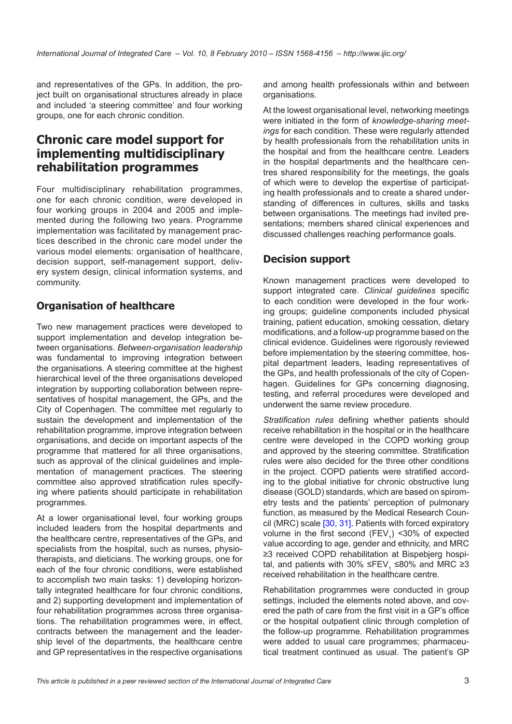and representatives of the GPs. In addition, the project built on organisational structures already in place and included 'a steering committee' and four working groups, one for each chronic condition.

### **Chronic care model support for implementing multidisciplinary rehabilitation programmes**

Four multidisciplinary rehabilitation programmes, one for each chronic condition, were developed in four working groups in 2004 and 2005 and implemented during the following two years. Programme implementation was facilitated by management practices described in the chronic care model under the various model elements: organisation of healthcare, decision support, self-management support, delivery system design, clinical information systems, and community.

#### **Organisation of healthcare**

Two new management practices were developed to support implementation and develop integration between organisations. *Between-organisation leadership* was fundamental to improving integration between the organisations. A steering committee at the highest hierarchical level of the three organisations developed integration by supporting collaboration between representatives of hospital management, the GPs, and the City of Copenhagen. The committee met regularly to sustain the development and implementation of the rehabilitation programme, improve integration between organisations, and decide on important aspects of the programme that mattered for all three organisations, such as approval of the clinical guidelines and implementation of management practices. The steering committee also approved stratification rules specifying where patients should participate in rehabilitation programmes.

At a lower organisational level, four working groups included leaders from the hospital departments and the healthcare centre, representatives of the GPs, and specialists from the hospital, such as nurses, physiotherapists, and dieticians. The working groups, one for each of the four chronic conditions, were established to accomplish two main tasks: 1) developing horizontally integrated healthcare for four chronic conditions, and 2) supporting development and implementation of four rehabilitation programmes across three organisations. The rehabilitation programmes were, in effect, contracts between the management and the leadership level of the departments, the healthcare centre and GP representatives in the respective organisations

and among health professionals within and between organisations.

At the lowest organisational level, networking meetings were initiated in the form of *knowledge-sharing meetings* for each condition. These were regularly attended by health professionals from the rehabilitation units in the hospital and from the healthcare centre. Leaders in the hospital departments and the healthcare centres shared responsibility for the meetings, the goals of which were to develop the expertise of participating health professionals and to create a shared understanding of differences in cultures, skills and tasks between organisations. The meetings had invited presentations; members shared clinical experiences and discussed challenges reaching performance goals.

#### **Decision support**

Known management practices were developed to support integrated care. *Clinical guidelines* specific to each condition were developed in the four working groups; guideline components included physical training, patient education, smoking cessation, dietary modifications, and a follow-up programme based on the clinical evidence. Guidelines were rigorously reviewed before implementation by the steering committee, hospital department leaders, leading representatives of the GPs, and health professionals of the city of Copenhagen. Guidelines for GPs concerning diagnosing, testing, and referral procedures were developed and underwent the same review procedure.

*Stratification rules* defining whether patients should receive rehabilitation in the hospital or in the healthcare centre were developed in the COPD working group and approved by the steering committee. Stratification rules were also decided for the three other conditions in the project. COPD patients were stratified according to the global initiative for chronic obstructive lung disease (GOLD) standards, which are based on spirometry tests and the patients' perception of pulmonary function, as measured by the Medical Research Council (MRC) scale [\[30](#page-9-0), [31\]](#page-9-0). Patients with forced expiratory volume in the first second  $(FEV_{1})$  <30% of expected value according to age, gender and ethnicity, and MRC ≥3 received COPD rehabilitation at Bispebjerg hospital, and patients with 30% ≤FEV<sub>1</sub> ≤80% and MRC ≥3 received rehabilitation in the healthcare centre.

Rehabilitation programmes were conducted in group settings, included the elements noted above, and covered the path of care from the first visit in a GP's office or the hospital outpatient clinic through completion of the follow-up programme. Rehabilitation programmes were added to usual care programmes; pharmaceutical treatment continued as usual. The patient's GP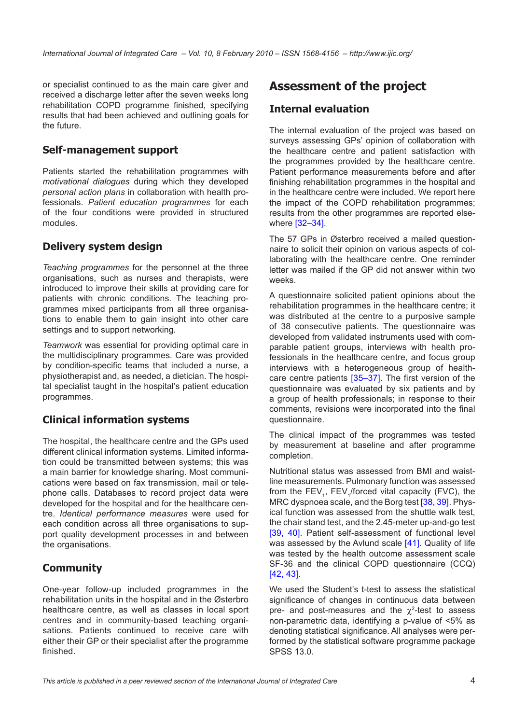or specialist continued to as the main care giver and received a discharge letter after the seven weeks long rehabilitation COPD programme finished, specifying results that had been achieved and outlining goals for the future.

#### **Self-management support**

Patients started the rehabilitation programmes with *motivational dialogues* during which they developed *personal action plans* in collaboration with health professionals. *Patient education programmes* for each of the four conditions were provided in structured modules.

#### **Delivery system design**

*Teaching programmes* for the personnel at the three organisations, such as nurses and therapists, were introduced to improve their skills at providing care for patients with chronic conditions. The teaching programmes mixed participants from all three organisations to enable them to gain insight into other care settings and to support networking*.*

*Teamwork* was essential for providing optimal care in the multidisciplinary programmes. Care was provided by condition-specific teams that included a nurse, a physiotherapist and, as needed, a dietician. The hospital specialist taught in the hospital's patient education programmes.

#### **Clinical information systems**

The hospital, the healthcare centre and the GPs used different clinical information systems. Limited information could be transmitted between systems; this was a main barrier for knowledge sharing. Most communications were based on fax transmission, mail or telephone calls. Databases to record project data were developed for the hospital and for the healthcare centre. *Identical performance measures* were used for each condition across all three organisations to support quality development processes in and between the organisations.

#### **Community**

One-year follow-up included programmes in the rehabilitation units in the hospital and in the Østerbro healthcare centre, as well as classes in local sport centres and in community-based teaching organisations. Patients continued to receive care with either their GP or their specialist after the programme finished.

## **Assessment of the project**

#### **Internal evaluation**

The internal evaluation of the project was based on surveys assessing GPs' opinion of collaboration with the healthcare centre and patient satisfaction with the programmes provided by the healthcare centre. Patient performance measurements before and after finishing rehabilitation programmes in the hospital and in the healthcare centre were included. We report here the impact of the COPD rehabilitation programmes; results from the other programmes are reported elsewhere [\[32](#page-9-0)–[34\]](#page-9-0).

The 57 GPs in Østerbro received a mailed questionnaire to solicit their opinion on various aspects of collaborating with the healthcare centre. One reminder letter was mailed if the GP did not answer within two weeks.

A questionnaire solicited patient opinions about the rehabilitation programmes in the healthcare centre; it was distributed at the centre to a purposive sample of 38 consecutive patients. The questionnaire was developed from validated instruments used with comparable patient groups, interviews with health professionals in the healthcare centre, and focus group interviews with a heterogeneous group of healthcare centre patients [[35](#page-9-0)–[37](#page-9-0)]. The first version of the questionnaire was evaluated by six patients and by a group of health professionals; in response to their comments, revisions were incorporated into the final questionnaire.

The clinical impact of the programmes was tested by measurement at baseline and after programme completion.

Nutritional status was assessed from BMI and waistline measurements. Pulmonary function was assessed from the  $FEV_1$ ,  $FEV_1$  forced vital capacity (FVC), the MRC dyspnoea scale, and the Borg test [[38](#page-9-0), [39](#page-9-0)]. Physical function was assessed from the shuttle walk test, the chair stand test, and the 2.45-meter up-and-go test [\[39](#page-9-0), [40](#page-9-0)]. Patient self-assessment of functional level was assessed by the Aylund scale [[41\]](#page-9-0). Quality of life was tested by the health outcome assessment scale SF-36 and the clinical COPD questionnaire (CCQ) [[42](#page-9-0), [43](#page-9-0)].

We used the Student's t-test to assess the statistical significance of changes in continuous data between pre- and post-measures and the  $\chi^2$ -test to assess non-parametric data, identifying a p-value of <5% as denoting statistical significance. All analyses were performed by the statistical software programme package SPSS 13.0.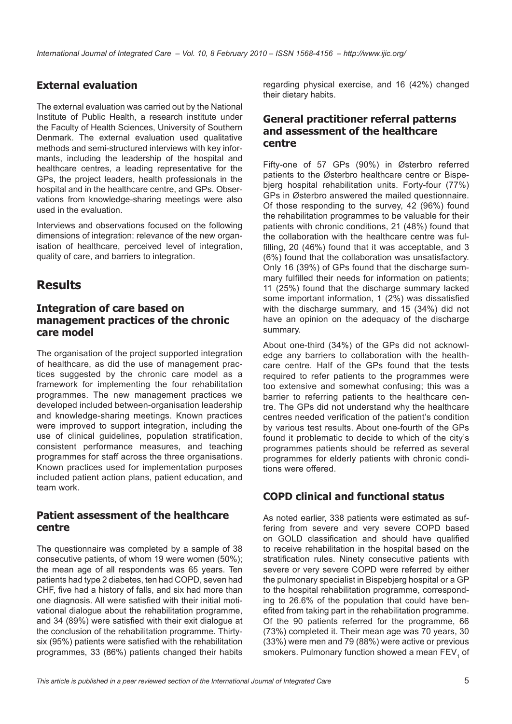#### **External evaluation**

The external evaluation was carried out by the National Institute of Public Health, a research institute under the Faculty of Health Sciences, University of Southern Denmark. The external evaluation used qualitative methods and semi-structured interviews with key informants, including the leadership of the hospital and healthcare centres, a leading representative for the GPs, the project leaders, health professionals in the hospital and in the healthcare centre, and GPs. Observations from knowledge-sharing meetings were also used in the evaluation.

Interviews and observations focused on the following dimensions of integration: relevance of the new organisation of healthcare, perceived level of integration, quality of care, and barriers to integration.

### **Results**

#### **Integration of care based on management practices of the chronic care model**

The organisation of the project supported integration of healthcare, as did the use of management practices suggested by the chronic care model as a framework for implementing the four rehabilitation programmes. The new management practices we developed included between-organisation leadership and knowledge-sharing meetings. Known practices were improved to support integration, including the use of clinical guidelines, population stratification, consistent performance measures, and teaching programmes for staff across the three organisations. Known practices used for implementation purposes included patient action plans, patient education, and team work.

#### **Patient assessment of the healthcare centre**

The questionnaire was completed by a sample of 38 consecutive patients, of whom 19 were women (50%); the mean age of all respondents was 65 years. Ten patients had type 2 diabetes, ten had COPD, seven had CHF, five had a history of falls, and six had more than one diagnosis. All were satisfied with their initial motivational dialogue about the rehabilitation programme, and 34 (89%) were satisfied with their exit dialogue at the conclusion of the rehabilitation programme. Thirtysix (95%) patients were satisfied with the rehabilitation programmes, 33 (86%) patients changed their habits

regarding physical exercise, and 16 (42%) changed their dietary habits.

#### **General practitioner referral patterns and assessment of the healthcare centre**

Fifty-one of 57 GPs (90%) in Østerbro referred patients to the Østerbro healthcare centre or Bispebjerg hospital rehabilitation units. Forty-four (77%) GPs in Østerbro answered the mailed questionnaire. Of those responding to the survey, 42 (96%) found the rehabilitation programmes to be valuable for their patients with chronic conditions, 21 (48%) found that the collaboration with the healthcare centre was fulfilling, 20 (46%) found that it was acceptable, and 3 (6%) found that the collaboration was unsatisfactory. Only 16 (39%) of GPs found that the discharge summary fulfilled their needs for information on patients; 11 (25%) found that the discharge summary lacked some important information, 1 (2%) was dissatisfied with the discharge summary, and 15 (34%) did not have an opinion on the adequacy of the discharge summary.

About one-third (34%) of the GPs did not acknowledge any barriers to collaboration with the healthcare centre. Half of the GPs found that the tests required to refer patients to the programmes were too extensive and somewhat confusing; this was a barrier to referring patients to the healthcare centre. The GPs did not understand why the healthcare centres needed verification of the patient's condition by various test results. About one-fourth of the GPs found it problematic to decide to which of the city's programmes patients should be referred as several programmes for elderly patients with chronic conditions were offered.

### **COPD clinical and functional status**

As noted earlier, 338 patients were estimated as suffering from severe and very severe COPD based on GOLD classification and should have qualified to receive rehabilitation in the hospital based on the stratification rules. Ninety consecutive patients with severe or very severe COPD were referred by either the pulmonary specialist in Bispebjerg hospital or a GP to the hospital rehabilitation programme, corresponding to 26.6% of the population that could have benefited from taking part in the rehabilitation programme. Of the 90 patients referred for the programme, 66 (73%) completed it. Their mean age was 70 years, 30 (33%) were men and 79 (88%) were active or previous smokers. Pulmonary function showed a mean  $\mathsf{FEV}_{1}$  of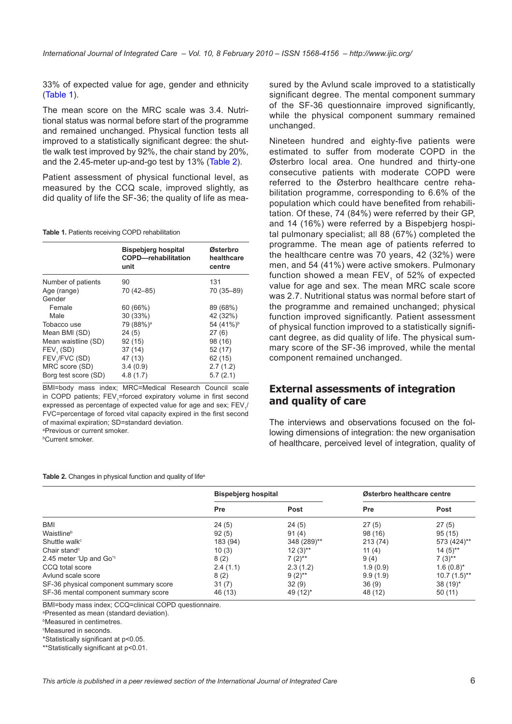33% of expected value for age, gender and ethnicity (Table 1).

The mean score on the MRC scale was 3.4. Nutritional status was normal before start of the programme and remained unchanged. Physical function tests all improved to a statistically significant degree: the shuttle walk test improved by 92%, the chair stand by 20%, and the 2.45-meter up-and-go test by 13% (Table 2).

Patient assessment of physical functional level, as measured by the CCQ scale, improved slightly, as did quality of life the SF-36; the quality of life as mea-

**Table 1.** Patients receiving COPD rehabilitation

|                            | <b>Bispebjerg hospital</b><br><b>COPD-rehabilitation</b><br>unit | Østerbro<br>healthcare<br>centre |
|----------------------------|------------------------------------------------------------------|----------------------------------|
| Number of patients         | 90                                                               | 131                              |
| Age (range)<br>Gender      | 70 (42-85)                                                       | 70 (35-89)                       |
| Female                     | 60 (66%)                                                         | 89 (68%)                         |
| Male                       | 30 (33%)                                                         | 42 (32%)                         |
| Tobacco use                | 79 (88%) <sup>a</sup>                                            | 54 (41%) <sup>b</sup>            |
| Mean BMI (SD)              | 24(5)                                                            | 27(6)                            |
| Mean waistline (SD)        | 92(15)                                                           | 98 (16)                          |
| FEV <sub>1</sub> (SD)      | 37(14)                                                           | 52 (17)                          |
| FEV <sub>1</sub> /FVC (SD) | 47 (13)                                                          | 62 (15)                          |
| MRC score (SD)             | 3.4(0.9)                                                         | 2.7(1.2)                         |
| Borg test score (SD)       | 4.8(1.7)                                                         | 5.7(2.1)                         |

BMI=body mass index; MRC=Medical Research Council scale in COPD patients; FEV<sub>1</sub>=forced expiratory volume in first second expressed as percentage of expected value for age and sex;  $\mathsf{FEV}_{\mathsf{q}}$ / FVC=percentage of forced vital capacity expired in the first second of maximal expiration; SD=standard deviation.

a Previous or current smoker. b Current smoker.

**Table 2.** Changes in physical function and quality of life<sup>a</sup>

sured by the Avlund scale improved to a statistically significant degree. The mental component summary of the SF-36 questionnaire improved significantly, while the physical component summary remained unchanged.

Nineteen hundred and eighty-five patients were estimated to suffer from moderate COPD in the Østerbro local area. One hundred and thirty-one consecutive patients with moderate COPD were referred to the Østerbro healthcare centre rehabilitation programme, corresponding to 6.6% of the population which could have benefited from rehabilitation. Of these, 74 (84%) were referred by their GP, and 14 (16%) were referred by a Bispebjerg hospital pulmonary specialist; all 88 (67%) completed the programme. The mean age of patients referred to the healthcare centre was 70 years, 42 (32%) were men, and 54 (41%) were active smokers. Pulmonary function showed a mean  $FEV<sub>4</sub>$  of 52% of expected value for age and sex. The mean MRC scale score was 2.7. Nutritional status was normal before start of the programme and remained unchanged; physical function improved significantly. Patient assessment of physical function improved to a statistically significant degree, as did quality of life. The physical summary score of the SF-36 improved, while the mental component remained unchanged.

#### **External assessments of integration and quality of care**

The interviews and observations focused on the following dimensions of integration: the new organisation of healthcare, perceived level of integration, quality of

|                                        | <b>Bispebjerg hospital</b> |                      | Østerbro healthcare centre |                      |
|----------------------------------------|----------------------------|----------------------|----------------------------|----------------------|
|                                        | Pre                        | <b>Post</b>          | <b>Pre</b>                 | Post                 |
| BMI                                    | 24(5)                      | 24(5)                | 27(5)                      | 27(5)                |
| Waistline <sup>b</sup>                 | 92(5)                      | 91(4)                | 98 (16)                    | 95(15)               |
| Shuttle walk <sup>c</sup>              | 183 (94)                   | 348 (289)**          | 213 (74)                   | 573 (424)**          |
| Chair stand $\textdegree$              | 10(3)                      | $12(3)$ **           | 11 $(4)$                   | $14(5)$ **           |
| 2.45 meter 'Up and Go's                | 8(2)                       | $7(2)$ <sup>**</sup> | 9(4)                       | $7(3)$ <sup>**</sup> |
| CCO total score                        | 2.4(1.1)                   | 2.3(1.2)             | 1.9(0.9)                   | $1.6(0.8)^{*}$       |
| Avlund scale score                     | 8(2)                       | $9(2)$ **            | 9.9(1.9)                   | $10.7(1.5)$ **       |
| SF-36 physical component summary score | 31(7)                      | 32(9)                | 36(9)                      | $38(19)^*$           |
| SF-36 mental component summary score   | 46 (13)                    | 49 (12)*             | 48 (12)                    | 50(11)               |

BMI=body mass index; CCQ=clinical COPD questionnaire.

a Presented as mean (standard deviation).

b Measured in centimetres.

c Measured in seconds.

\*Statistically significant at p<0.05.

\*\*Statistically significant at p<0.01.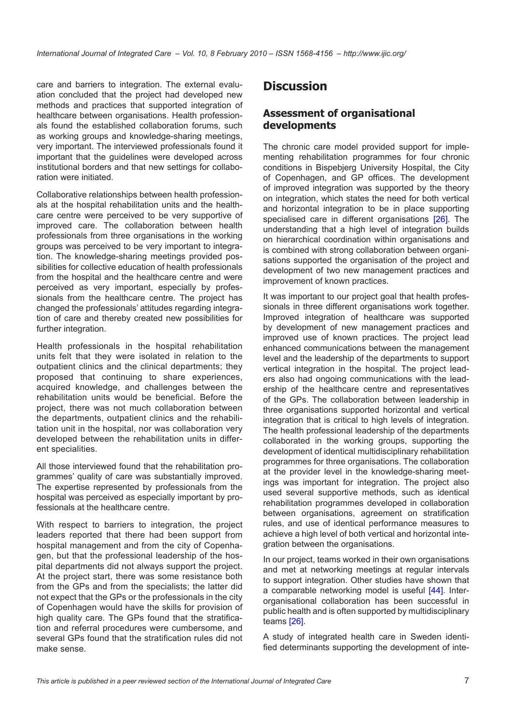care and barriers to integration. The external evaluation concluded that the project had developed new methods and practices that supported integration of healthcare between organisations. Health professionals found the established collaboration forums, such as working groups and knowledge-sharing meetings, very important. The interviewed professionals found it important that the guidelines were developed across institutional borders and that new settings for collaboration were initiated.

Collaborative relationships between health professionals at the hospital rehabilitation units and the healthcare centre were perceived to be very supportive of improved care. The collaboration between health professionals from three organisations in the working groups was perceived to be very important to integration. The knowledge-sharing meetings provided possibilities for collective education of health professionals from the hospital and the healthcare centre and were perceived as very important, especially by professionals from the healthcare centre. The project has changed the professionals' attitudes regarding integration of care and thereby created new possibilities for further integration.

Health professionals in the hospital rehabilitation units felt that they were isolated in relation to the outpatient clinics and the clinical departments; they proposed that continuing to share experiences, acquired knowledge, and challenges between the rehabilitation units would be beneficial. Before the project, there was not much collaboration between the departments, outpatient clinics and the rehabilitation unit in the hospital, nor was collaboration very developed between the rehabilitation units in different specialities.

All those interviewed found that the rehabilitation programmes' quality of care was substantially improved. The expertise represented by professionals from the hospital was perceived as especially important by professionals at the healthcare centre.

With respect to barriers to integration, the project leaders reported that there had been support from hospital management and from the city of Copenhagen, but that the professional leadership of the hospital departments did not always support the project. At the project start, there was some resistance both from the GPs and from the specialists; the latter did not expect that the GPs or the professionals in the city of Copenhagen would have the skills for provision of high quality care. The GPs found that the stratification and referral procedures were cumbersome, and several GPs found that the stratification rules did not make sense.

## **Discussion**

#### **Assessment of organisational developments**

The chronic care model provided support for implementing rehabilitation programmes for four chronic conditions in Bispebjerg University Hospital, the City of Copenhagen, and GP offices. The development of improved integration was supported by the theory on integration, which states the need for both vertical and horizontal integration to be in place supporting specialised care in different organisations [[26\]](#page-9-0). The understanding that a high level of integration builds on hierarchical coordination within organisations and is combined with strong collaboration between organisations supported the organisation of the project and development of two new management practices and improvement of known practices.

It was important to our project goal that health professionals in three different organisations work together. Improved integration of healthcare was supported by development of new management practices and improved use of known practices. The project lead enhanced communications between the management level and the leadership of the departments to support vertical integration in the hospital. The project leaders also had ongoing communications with the leadership of the healthcare centre and representatives of the GPs. The collaboration between leadership in three organisations supported horizontal and vertical integration that is critical to high levels of integration. The health professional leadership of the departments collaborated in the working groups, supporting the development of identical multidisciplinary rehabilitation programmes for three organisations. The collaboration at the provider level in the knowledge-sharing meetings was important for integration. The project also used several supportive methods, such as identical rehabilitation programmes developed in collaboration between organisations, agreement on stratification rules, and use of identical performance measures to achieve a high level of both vertical and horizontal integration between the organisations.

In our project, teams worked in their own organisations and met at networking meetings at regular intervals to support integration. Other studies have shown that a comparable networking model is useful [\[44\]](#page-10-0). Interorganisational collaboration has been successful in public health and is often supported by multidisciplinary teams [[26](#page-9-0)].

A study of integrated health care in Sweden identified determinants supporting the development of inte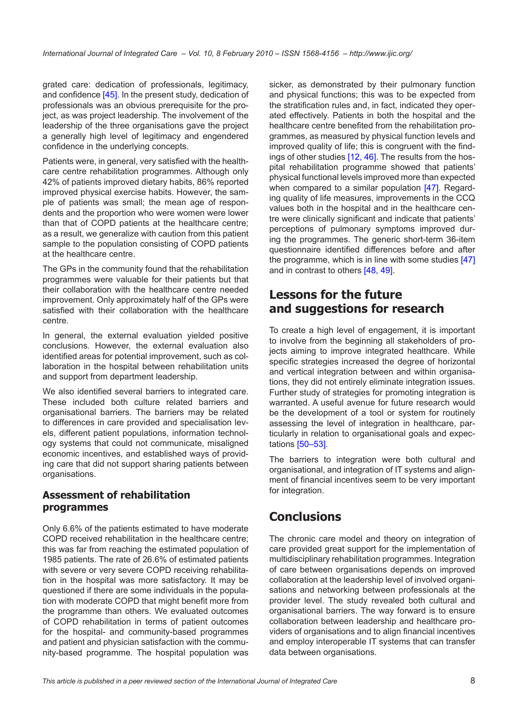grated care: dedication of professionals, legitimacy, and confidence [\[45](#page-10-0)]. In the present study, dedication of professionals was an obvious prerequisite for the project, as was project leadership. The involvement of the leadership of the three organisations gave the project a generally high level of legitimacy and engendered confidence in the underlying concepts.

Patients were, in general, very satisfied with the healthcare centre rehabilitation programmes. Although only 42% of patients improved dietary habits, 86% reported improved physical exercise habits. However, the sample of patients was small; the mean age of respondents and the proportion who were women were lower than that of COPD patients at the healthcare centre; as a result, we generalize with caution from this patient sample to the population consisting of COPD patients at the healthcare centre.

The GPs in the community found that the rehabilitation programmes were valuable for their patients but that their collaboration with the healthcare centre needed improvement. Only approximately half of the GPs were satisfied with their collaboration with the healthcare centre.

In general, the external evaluation yielded positive conclusions. However, the external evaluation also identified areas for potential improvement, such as collaboration in the hospital between rehabilitation units and support from department leadership.

We also identified several barriers to integrated care. These included both culture related barriers and organisational barriers. The barriers may be related to differences in care provided and specialisation levels, different patient populations, information technology systems that could not communicate, misaligned economic incentives, and established ways of providing care that did not support sharing patients between organisations.

### **Assessment of rehabilitation programmes**

Only 6.6% of the patients estimated to have moderate COPD received rehabilitation in the healthcare centre; this was far from reaching the estimated population of 1985 patients. The rate of 26.6% of estimated patients with severe or very severe COPD receiving rehabilitation in the hospital was more satisfactory. It may be questioned if there are some individuals in the population with moderate COPD that might benefit more from the programme than others. We evaluated outcomes of COPD rehabilitation in terms of patient outcomes for the hospital- and community-based programmes and patient and physician satisfaction with the community-based programme. The hospital population was

sicker, as demonstrated by their pulmonary function and physical functions; this was to be expected from the stratification rules and, in fact, indicated they operated effectively. Patients in both the hospital and the healthcare centre benefited from the rehabilitation programmes, as measured by physical function levels and improved quality of life; this is congruent with the findings of other studies [\[12](#page-8-0), [46\]](#page-10-0). The results from the hospital rehabilitation programme showed that patients' physical functional levels improved more than expected when compared to a similar population [\[47](#page-10-0)]. Regarding quality of life measures, improvements in the CCQ values both in the hospital and in the healthcare centre were clinically significant and indicate that patients' perceptions of pulmonary symptoms improved during the programmes. The generic short-term 36-item questionnaire identified differences before and after the programme, which is in line with some studies [[47\]](#page-10-0) and in contrast to others [\[48](#page-10-0), [49\]](#page-10-0).

### **Lessons for the future and suggestions for research**

To create a high level of engagement, it is important to involve from the beginning all stakeholders of projects aiming to improve integrated healthcare. While specific strategies increased the degree of horizontal and vertical integration between and within organisations, they did not entirely eliminate integration issues. Further study of strategies for promoting integration is warranted. A useful avenue for future research would be the development of a tool or system for routinely assessing the level of integration in healthcare, particularly in relation to organisational goals and expectations [\[50](#page-10-0)–[53](#page-10-0)].

The barriers to integration were both cultural and organisational, and integration of IT systems and alignment of financial incentives seem to be very important for integration.

## **Conclusions**

The chronic care model and theory on integration of care provided great support for the implementation of multidisciplinary rehabilitation programmes. Integration of care between organisations depends on improved collaboration at the leadership level of involved organisations and networking between professionals at the provider level. The study revealed both cultural and organisational barriers. The way forward is to ensure collaboration between leadership and healthcare providers of organisations and to align financial incentives and employ interoperable IT systems that can transfer data between organisations.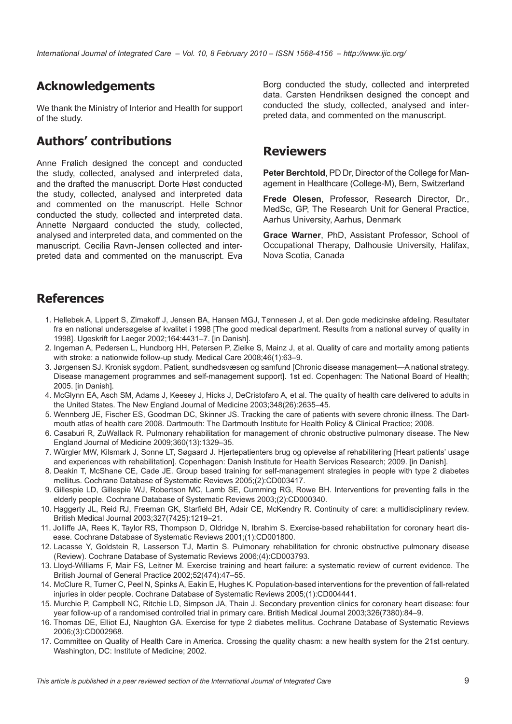## <span id="page-8-0"></span>**Acknowledgements**

We thank the Ministry of Interior and Health for support of the study.

## **Authors' contributions**

Anne Frølich designed the concept and conducted the study, collected, analysed and interpreted data, and the drafted the manuscript. Dorte Høst conducted the study, collected, analysed and interpreted data and commented on the manuscript. Helle Schnor conducted the study, collected and interpreted data. Annette Nørgaard conducted the study, collected, analysed and interpreted data, and commented on the manuscript. Cecilia Ravn-Jensen collected and interpreted data and commented on the manuscript. Eva

Borg conducted the study, collected and interpreted data. Carsten Hendriksen designed the concept and conducted the study, collected, analysed and interpreted data, and commented on the manuscript.

### **Reviewers**

**Peter Berchtold**, PD Dr, Director of the College for Management in Healthcare (College-M), Bern, Switzerland

**Frede Olesen**, Professor, Research Director, Dr., MedSc, GP, The Research Unit for General Practice, Aarhus University, Aarhus, Denmark

**Grace Warner**, PhD, Assistant Professor, School of Occupational Therapy, Dalhousie University, Halifax, Nova Scotia, Canada

## **References**

- 1. Hellebek A, Lippert S, Zimakoff J, Jensen BA, Hansen MGJ, Tønnesen J, et al. Den gode medicinske afdeling. Resultater fra en national undersøgelse af kvalitet i 1998 [The good medical department. Results from a national survey of quality in 1998]. Ugeskrift for Laeger 2002;164:4431–7. [in Danish].
- 2. Ingeman A, Pedersen L, Hundborg HH, Petersen P, Zielke S, Mainz J, et al. Quality of care and mortality among patients with stroke: a nationwide follow-up study. Medical Care 2008;46(1):63–9.
- 3. Jørgensen SJ. Kronisk sygdom. Patient, sundhedsvæsen og samfund [Chronic disease management—A national strategy. Disease management programmes and self-management support]. 1st ed. Copenhagen: The National Board of Health; 2005. [in Danish].
- 4. McGlynn EA, Asch SM, Adams J, Keesey J, Hicks J, DeCristofaro A, et al. The quality of health care delivered to adults in the United States. The New England Journal of Medicine 2003;348(26):2635–45.
- 5. Wennberg JE, Fischer ES, Goodman DC, Skinner JS. Tracking the care of patients with severe chronic illness. The Dartmouth atlas of health care 2008. Dartmouth: The Dartmouth Institute for Health Policy & Clinical Practice; 2008.
- 6. Casaburi R, ZuWallack R. Pulmonary rehabilitation for management of chronic obstructive pulmonary disease. The New England Journal of Medicine 2009;360(13):1329–35.
- 7. Würgler MW, Kilsmark J, Sonne LT, Søgaard J. Hjertepatienters brug og oplevelse af rehabilitering [Heart patients' usage and experiences with rehabilitation]. Copenhagen: Danish Institute for Health Services Research; 2009. [in Danish].
- 8. Deakin T, McShane CE, Cade JE. Group based training for self-management strategies in people with type 2 diabetes mellitus. Cochrane Database of Systematic Reviews 2005;(2):CD003417.
- 9. Gillespie LD, Gillespie WJ, Robertson MC, Lamb SE, Cumming RG, Rowe BH, Interventions for preventing falls in the elderly people. Cochrane Database of Systematic Reviews 2003;(2):CD000340.
- 10. Haggerty JL, Reid RJ, Freeman GK, Starfield BH, Adair CE, McKendry R. Continuity of care: a multidisciplinary review. British Medical Journal 2003;327(7425):1219–21.
- 11. Jolliffe JA, Rees K, Taylor RS, Thompson D, Oldridge N, Ibrahim S. Exercise-based rehabilitation for coronary heart disease. Cochrane Database of Systematic Reviews 2001;(1):CD001800.
- 12. Lacasse Y, Goldstein R, Lasserson TJ, Martin S. Pulmonary rehabilitation for chronic obstructive pulmonary disease (Review). Cochrane Database of Systematic Reviews 2006;(4):CD003793.
- 13. Lloyd-Williams F, Mair FS, Leitner M. Exercise training and heart failure: a systematic review of current evidence. The British Journal of General Practice 2002;52(474):47–55.
- 14. McClure R, Turner C, Peel N, Spinks A, Eakin E, Hughes K. Population-based interventions for the prevention of fall-related injuries in older people. Cochrane Database of Systematic Reviews 2005;(1):CD004441.
- 15. Murchie P, Campbell NC, Ritchie LD, Simpson JA, Thain J. Secondary prevention clinics for coronary heart disease: four year follow-up of a randomised controlled trial in primary care. British Medical Journal 2003;326(7380):84–9.
- 16. Thomas DE, Elliot EJ, Naughton GA. Exercise for type 2 diabetes mellitus. Cochrane Database of Systematic Reviews 2006;(3):CD002968.
- 17. Committee on Quality of Health Care in America. Crossing the quality chasm: a new health system for the 21st century. Washington, DC: Institute of Medicine; 2002.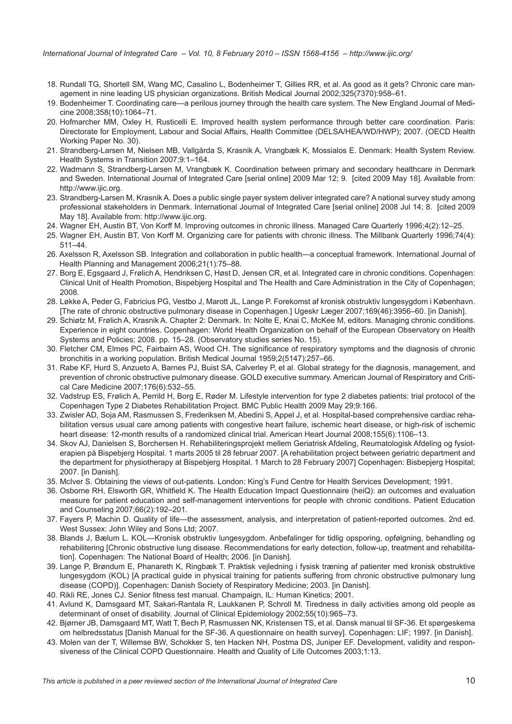- <span id="page-9-0"></span>18. Rundall TG, Shortell SM, Wang MC, Casalino L, Bodenheimer T, Gillies RR, et al. As good as it gets? Chronic care management in nine leading US physician organizations. British Medical Journal 2002;325(7370):958–61.
- 19. Bodenheimer T. Coordinating care—a perilous journey through the health care system. The New England Journal of Medicine 2008;358(10):1064–71.
- 20. Hofmarcher MM, Oxley H, Rusticelli E. Improved health system performance through better care coordination. Paris: Directorate for Employment, Labour and Social Affairs, Health Committee (DELSA/HEA/WD/HWP); 2007. (OECD Health Working Paper No. 30).
- 21. Strandberg-Larsen M, Nielsen MB, Vallgårda S, Krasnik A, Vrangbæk K, Mossialos E. Denmark: Health System Review. Health Systems in Transition 2007;9:1–164.
- 22. Wadmann S, Strandberg-Larsen M, Vrangbæk K. Coordination between primary and secondary healthcare in Denmark and Sweden. International Journal of Integrated Care [serial online] 2009 Mar 12; 9. [cited 2009 May 18]. Available from: [http://www.ijic.org.](http://www.ijic.org)
- 23. Strandberg-Larsen M, Krasnik A. Does a public single payer system deliver integrated care? A national survey study among professional stakeholders in Denmark. International Journal of Integrated Care [serial online] 2008 Jul 14; 8. [cited 2009 May 18]. Available from: <http://www.ijic.org>.
- 24. Wagner EH, Austin BT, Von Korff M. Improving outcomes in chronic illness. Managed Care Quarterly 1996;4(2):12–25.
- 25. Wagner EH, Austin BT, Von Korff M. Organizing care for patients with chronic illness. The Millbank Quarterly 1996;74(4): 511–44.
- 26. Axelsson R, Axelsson SB. Integration and collaboration in public health—a conceptual framework. International Journal of Health Planning and Management 2006;21(1):75–88.
- 27. Borg E, Egsgaard J, Frølich A, Hendriksen C, Høst D, Jensen CR, et al. Integrated care in chronic conditions. Copenhagen: Clinical Unit of Health Promotion, Bispebjerg Hospital and The Health and Care Administration in the City of Copenhagen; 2008.
- 28. Løkke A, Peder G, Fabricius PG, Vestbo J, Marott JL, Lange P. Forekomst af kronisk obstruktiv lungesygdom i København. [The rate of chronic obstructive pulmonary disease in Copenhagen.] Ugeskr Læger 2007;169(46):3956–60. [in Danish].
- 29. Schiøtz M, Frølich A, Krasnik A. Chapter 2: Denmark. In: Nolte E, Knai C, McKee M, editors. Managing chronic conditions. Experience in eight countries. Copenhagen: World Health Organization on behalf of the European Observatory on Health Systems and Policies; 2008. pp. 15–28. (Observatory studies series No. 15).
- 30. Fletcher CM, Elmes PC, Fairbairn AS, Wood CH. The significance of respiratory symptoms and the diagnosis of chronic bronchitis in a working population. British Medical Journal 1959;2(5147):257–66.
- 31. Rabe KF, Hurd S, Anzueto A, Barnes PJ, Buist SA, Calverley P, et al. Global strategy for the diagnosis, management, and prevention of chronic obstructive pulmonary disease. GOLD executive summary. American Journal of Respiratory and Critical Care Medicine 2007;176(6):532–55.
- 32. Vadstrup ES, Frølich A, Perrild H, Borg E, Røder M. Lifestyle intervention for type 2 diabetes patients: trial protocol of the Copenhagen Type 2 Diabetes Rehabilitation Project. BMC Public Health 2009 May 29;9:166.
- 33. Zwisler AD, Soja AM, Rasmussen S, Frederiksen M, Abedini S, Appel J, et al. Hospital-based comprehensive cardiac rehabilitation versus usual care among patients with congestive heart failure, ischemic heart disease, or high-risk of ischemic heart disease: 12-month results of a randomized clinical trial. American Heart Journal 2008;155(6):1106–13.
- 34. Skov AJ, Danielsen S, Borchersen H. Rehabiliteringsprojekt mellem Geriatrisk Afdeling, Reumatologisk Afdeling og fysioterapien på Bispebjerg Hospital. 1 marts 2005 til 28 februar 2007. [A rehabilitation project between geriatric department and the department for physiotherapy at Bispebjerg Hospital. 1 March to 28 February 2007] Copenhagen: Bisbepjerg Hospital; 2007. [in Danish].
- 35. McIver S. Obtaining the views of out-patients. London: King's Fund Centre for Health Services Development; 1991.
- 36. Osborne RH, Elsworth GR, Whitfield K. The Health Education Impact Questionnaire (heiQ): an outcomes and evaluation measure for patient education and self-management interventions for people with chronic conditions. Patient Education and Counseling 2007;66(2):192–201.
- 37. Fayers P, Machin D. Quality of life—the assessment, analysis, and interpretation of patient-reported outcomes. 2nd ed. West Sussex: John Wiley and Sons Ltd; 2007.
- 38. Blands J, Bælum L. KOL—Kronisk obstruktiv lungesygdom. Anbefalinger for tidlig opsporing, opfølgning, behandling og rehabilitering [Chronic obstructive lung disease. Recommendations for early detection, follow-up, treatment and rehabilitation]. Copenhagen: The National Board of Health; 2006. [in Danish].
- 39. Lange P, Brøndum E, Phanareth K, Ringbæk T. Praktisk vejledning i fysisk træning af patienter med kronisk obstruktive lungesygdom (KOL) [A practical guide in physical training for patients suffering from chronic obstructive pulmonary lung disease (COPD)]. Copenhagen: Danish Society of Respiratory Medicine; 2003. [in Danish].
- 40. Rikli RE, Jones CJ. Senior fitness test manual. Champaign, IL: Human Kinetics; 2001.
- 41. Avlund K, Damsgaard MT, Sakari-Rantala R, Laukkanen P, Schroll M. Tiredness in daily activities among old people as determinant of onset of disability. Journal of Clinical Epidemiology 2002;55(10):965–73.
- 42. Bjørner JB, Damsgaard MT, Watt T, Bech P, Rasmussen NK, Kristensen TS, et al. Dansk manual til SF-36. Et spørgeskema om helbredsstatus [Danish Manual for the SF-36. A questionnaire on health survey]. Copenhagen: LIF; 1997. [in Danish].
- 43. Molen van der T, Willemse BW, Schokker S, ten Hacken NH, Postma DS, Juniper EF. Development, validity and responsiveness of the Clinical COPD Questionnaire. Health and Quality of Life Outcomes 2003;1:13.